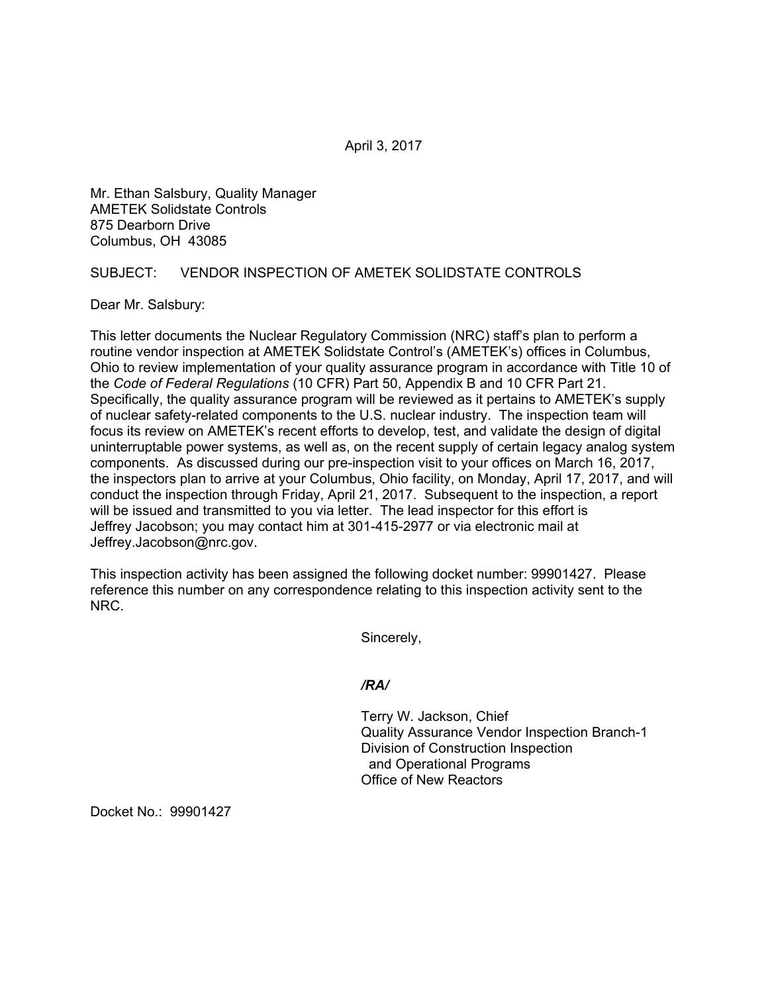April 3, 2017

Mr. Ethan Salsbury, Quality Manager AMETEK Solidstate Controls 875 Dearborn Drive Columbus, OH 43085

## SUBJECT: VENDOR INSPECTION OF AMETEK SOLIDSTATE CONTROLS

Dear Mr. Salsbury:

This letter documents the Nuclear Regulatory Commission (NRC) staff's plan to perform a routine vendor inspection at AMETEK Solidstate Control's (AMETEK's) offices in Columbus, Ohio to review implementation of your quality assurance program in accordance with Title 10 of the *Code of Federal Regulations* (10 CFR) Part 50, Appendix B and 10 CFR Part 21. Specifically, the quality assurance program will be reviewed as it pertains to AMETEK's supply of nuclear safety-related components to the U.S. nuclear industry. The inspection team will focus its review on AMETEK's recent efforts to develop, test, and validate the design of digital uninterruptable power systems, as well as, on the recent supply of certain legacy analog system components. As discussed during our pre-inspection visit to your offices on March 16, 2017, the inspectors plan to arrive at your Columbus, Ohio facility, on Monday, April 17, 2017, and will conduct the inspection through Friday, April 21, 2017. Subsequent to the inspection, a report will be issued and transmitted to you via letter. The lead inspector for this effort is Jeffrey Jacobson; you may contact him at 301-415-2977 or via electronic mail at Jeffrey.Jacobson@nrc.gov.

This inspection activity has been assigned the following docket number: 99901427. Please reference this number on any correspondence relating to this inspection activity sent to the NRC.

Sincerely,

## */RA/*

Terry W. Jackson, Chief Quality Assurance Vendor Inspection Branch-1 Division of Construction Inspection and Operational Programs Office of New Reactors

Docket No.: 99901427